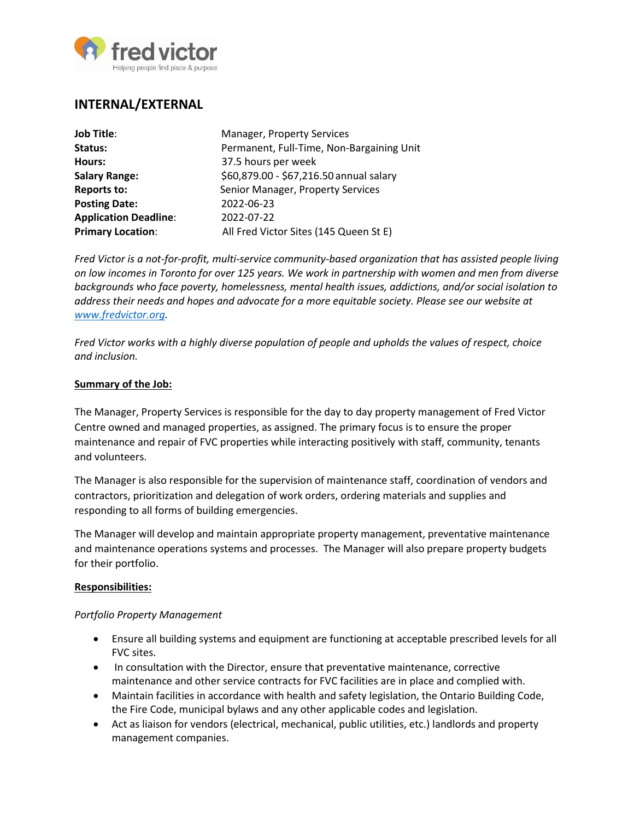

# **INTERNAL/EXTERNAL**

| <b>Job Title:</b>            | <b>Manager, Property Services</b>         |
|------------------------------|-------------------------------------------|
| Status:                      | Permanent, Full-Time, Non-Bargaining Unit |
| Hours:                       | 37.5 hours per week                       |
| <b>Salary Range:</b>         | \$60,879.00 - \$67,216.50 annual salary   |
| <b>Reports to:</b>           | Senior Manager, Property Services         |
| <b>Posting Date:</b>         | 2022-06-23                                |
| <b>Application Deadline:</b> | 2022-07-22                                |
| <b>Primary Location:</b>     | All Fred Victor Sites (145 Queen St E)    |

*Fred Victor is a not-for-profit, multi-service community-based organization that has assisted people living on low incomes in Toronto for over 125 years. We work in partnership with women and men from diverse backgrounds who face poverty, homelessness, mental health issues, addictions, and/or social isolation to address their needs and hopes and advocate for a more equitable society. Please see our website at [www.fredvictor.org.](http://www.fredvictor.org/)*

*Fred Victor works with a highly diverse population of people and upholds the values of respect, choice and inclusion.*

#### **Summary of the Job:**

The Manager, Property Services is responsible for the day to day property management of Fred Victor Centre owned and managed properties, as assigned. The primary focus is to ensure the proper maintenance and repair of FVC properties while interacting positively with staff, community, tenants and volunteers.

The Manager is also responsible for the supervision of maintenance staff, coordination of vendors and contractors, prioritization and delegation of work orders, ordering materials and supplies and responding to all forms of building emergencies.

The Manager will develop and maintain appropriate property management, preventative maintenance and maintenance operations systems and processes. The Manager will also prepare property budgets for their portfolio.

#### **Responsibilities:**

### *Portfolio Property Management*

- Ensure all building systems and equipment are functioning at acceptable prescribed levels for all FVC sites.
- In consultation with the Director, ensure that preventative maintenance, corrective maintenance and other service contracts for FVC facilities are in place and complied with.
- Maintain facilities in accordance with health and safety legislation, the Ontario Building Code, the Fire Code, municipal bylaws and any other applicable codes and legislation.
- Act as liaison for vendors (electrical, mechanical, public utilities, etc.) landlords and property management companies.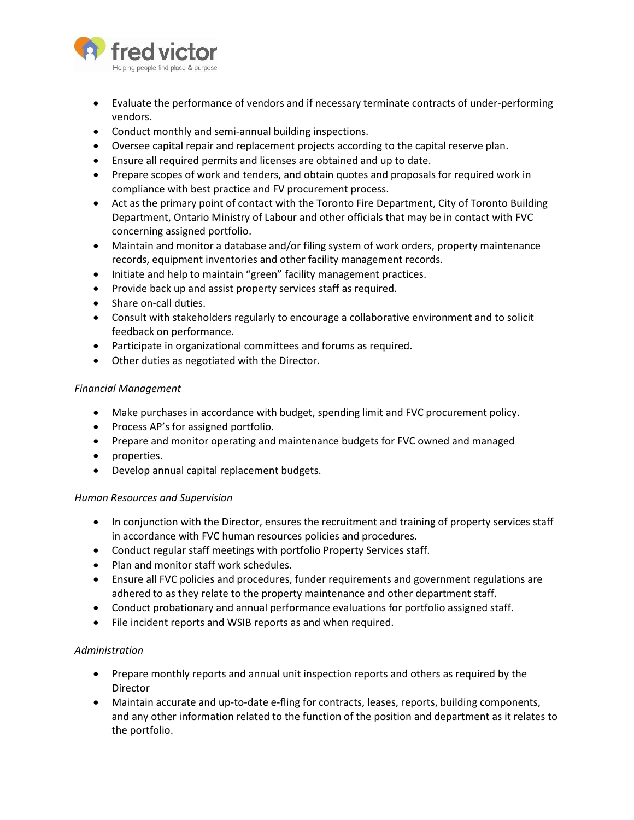

- Evaluate the performance of vendors and if necessary terminate contracts of under-performing vendors.
- Conduct monthly and semi-annual building inspections.
- Oversee capital repair and replacement projects according to the capital reserve plan.
- Ensure all required permits and licenses are obtained and up to date.
- Prepare scopes of work and tenders, and obtain quotes and proposals for required work in compliance with best practice and FV procurement process.
- Act as the primary point of contact with the Toronto Fire Department, City of Toronto Building Department, Ontario Ministry of Labour and other officials that may be in contact with FVC concerning assigned portfolio.
- Maintain and monitor a database and/or filing system of work orders, property maintenance records, equipment inventories and other facility management records.
- Initiate and help to maintain "green" facility management practices.
- Provide back up and assist property services staff as required.
- Share on-call duties.
- Consult with stakeholders regularly to encourage a collaborative environment and to solicit feedback on performance.
- Participate in organizational committees and forums as required.
- Other duties as negotiated with the Director.

### *Financial Management*

- Make purchases in accordance with budget, spending limit and FVC procurement policy.
- Process AP's for assigned portfolio.
- Prepare and monitor operating and maintenance budgets for FVC owned and managed
- properties.
- Develop annual capital replacement budgets.

### *Human Resources and Supervision*

- In conjunction with the Director, ensures the recruitment and training of property services staff in accordance with FVC human resources policies and procedures.
- Conduct regular staff meetings with portfolio Property Services staff.
- Plan and monitor staff work schedules.
- Ensure all FVC policies and procedures, funder requirements and government regulations are adhered to as they relate to the property maintenance and other department staff.
- Conduct probationary and annual performance evaluations for portfolio assigned staff.
- File incident reports and WSIB reports as and when required.

### *Administration*

- Prepare monthly reports and annual unit inspection reports and others as required by the Director
- Maintain accurate and up-to-date e-fling for contracts, leases, reports, building components, and any other information related to the function of the position and department as it relates to the portfolio.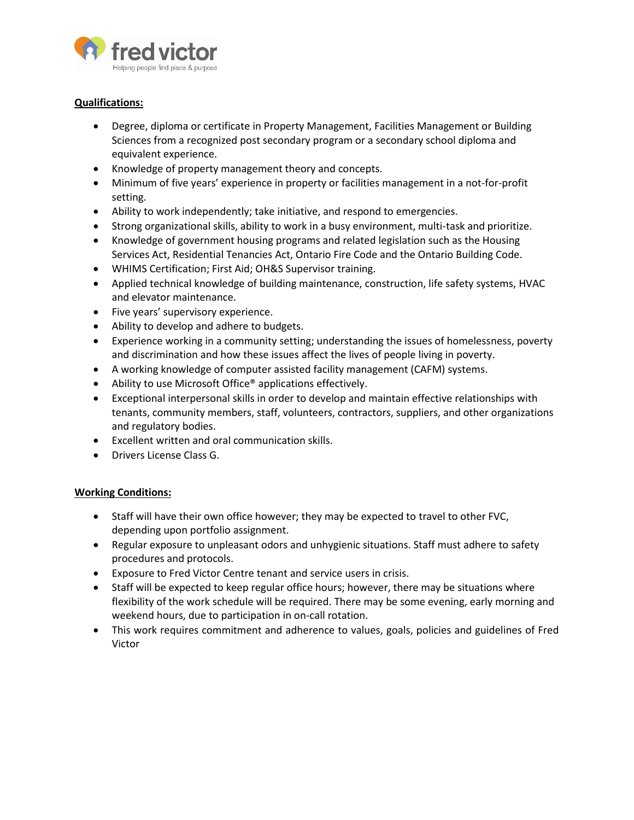

## **Qualifications:**

- Degree, diploma or certificate in Property Management, Facilities Management or Building Sciences from a recognized post secondary program or a secondary school diploma and equivalent experience.
- Knowledge of property management theory and concepts.
- Minimum of five years' experience in property or facilities management in a not-for-profit setting.
- Ability to work independently; take initiative, and respond to emergencies.
- Strong organizational skills, ability to work in a busy environment, multi-task and prioritize.
- Knowledge of government housing programs and related legislation such as the Housing Services Act, Residential Tenancies Act, Ontario Fire Code and the Ontario Building Code.
- WHIMS Certification; First Aid; OH&S Supervisor training.
- Applied technical knowledge of building maintenance, construction, life safety systems, HVAC and elevator maintenance.
- Five years' supervisory experience.
- Ability to develop and adhere to budgets.
- Experience working in a community setting; understanding the issues of homelessness, poverty and discrimination and how these issues affect the lives of people living in poverty.
- A working knowledge of computer assisted facility management (CAFM) systems.
- Ability to use Microsoft Office<sup>®</sup> applications effectively.
- Exceptional interpersonal skills in order to develop and maintain effective relationships with tenants, community members, staff, volunteers, contractors, suppliers, and other organizations and regulatory bodies.
- Excellent written and oral communication skills.
- Drivers License Class G.

### **Working Conditions:**

- Staff will have their own office however; they may be expected to travel to other FVC, depending upon portfolio assignment.
- Regular exposure to unpleasant odors and unhygienic situations. Staff must adhere to safety procedures and protocols.
- Exposure to Fred Victor Centre tenant and service users in crisis.
- Staff will be expected to keep regular office hours; however, there may be situations where flexibility of the work schedule will be required. There may be some evening, early morning and weekend hours, due to participation in on-call rotation.
- This work requires commitment and adherence to values, goals, policies and guidelines of Fred Victor